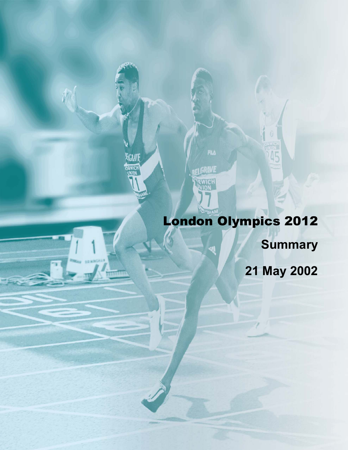# London Olympics 2012 **Summary 21 May 2002**

**FILA** 

GRAVE

EGRAVE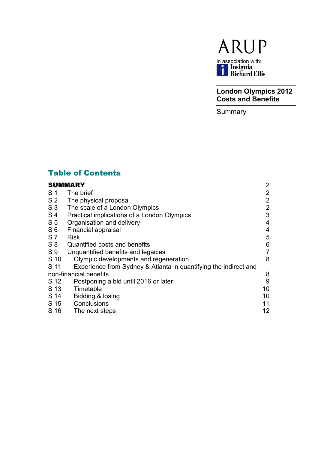

**London Olympics 2012 Costs and Benefits**

**Summary** 

# Table of Contents

# [SUMMARY](#page-2-0) 2

| S <sub>1</sub> | The brief                                                        | $\overline{2}$ |
|----------------|------------------------------------------------------------------|----------------|
| S <sub>2</sub> | The physical proposal                                            | $\overline{2}$ |
| S <sub>3</sub> | The scale of a London Olympics                                   | $\overline{2}$ |
| S <sub>4</sub> | Practical implications of a London Olympics                      | 3              |
| S <sub>5</sub> | Organisation and delivery                                        | 4              |
| S <sub>6</sub> | Financial appraisal                                              | 4              |
| S <sub>7</sub> | <b>Risk</b>                                                      | 5              |
| $S_8$          | Quantified costs and benefits                                    | 6              |
| S <sub>9</sub> | Unquantified benefits and legacies                               | $\overline{7}$ |
| S 10           | Olympic developments and regeneration                            | 8              |
| S 11           | Experience from Sydney & Atlanta in quantifying the indirect and |                |
|                | non-financial benefits                                           | 8              |
| S 12           | Postponing a bid until 2016 or later                             | $9\,$          |
| S 13           | Timetable                                                        | 10             |
| S 14           | Bidding & losing                                                 | 10             |
| S 15           | Conclusions                                                      | 11             |
| S 16           | The next steps                                                   | 12             |
|                |                                                                  |                |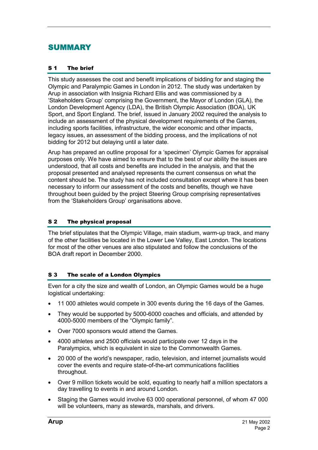# <span id="page-2-0"></span>SUMMARY

#### S 1 The brief

This study assesses the cost and benefit implications of bidding for and staging the Olympic and Paralympic Games in London in 2012. The study was undertaken by Arup in association with Insignia Richard Ellis and was commissioned by a 'Stakeholders Group' comprising the Government, the Mayor of London (GLA), the London Development Agency (LDA), the British Olympic Association (BOA), UK Sport, and Sport England. The brief, issued in January 2002 required the analysis to include an assessment of the physical development requirements of the Games, including sports facilities, infrastructure, the wider economic and other impacts, legacy issues, an assessment of the bidding process, and the implications of not bidding for 2012 but delaying until a later date.

Arup has prepared an outline proposal for a 'specimen' Olympic Games for appraisal purposes only. We have aimed to ensure that to the best of our ability the issues are understood, that all costs and benefits are included in the analysis, and that the proposal presented and analysed represents the current consensus on what the content should be. The study has not included consultation except where it has been necessary to inform our assessment of the costs and benefits, though we have throughout been guided by the project Steering Group comprising representatives from the 'Stakeholders Group' organisations above.

## S 2 The physical proposal

The brief stipulates that the Olympic Village, main stadium, warm-up track, and many of the other facilities be located in the Lower Lee Valley, East London. The locations for most of the other venues are also stipulated and follow the conclusions of the BOA draft report in December 2000.

#### S 3 The scale of a London Olympics

Even for a city the size and wealth of London, an Olympic Games would be a huge logistical undertaking:

- $\bullet$ 11 000 athletes would compete in 300 events during the 16 days of the Games.
- - They would be supported by 5000-6000 coaches and officials, and attended by 4000-5000 members of the "Olympic family".
- $\bullet$ Over 7000 sponsors would attend the Games.
- $\bullet$  4000 athletes and 2500 officials would participate over 12 days in the Paralympics, which is equivalent in size to the Commonwealth Games.
- $\bullet$  20 000 of the world's newspaper, radio, television, and internet journalists would cover the events and require state-of-the-art communications facilities throughout.
- - Over 9 million tickets would be sold, equating to nearly half a million spectators a day travelling to events in and around London.
- $\bullet$  Staging the Games would involve 63 000 operational personnel, of whom 47 000 will be volunteers, many as stewards, marshals, and drivers.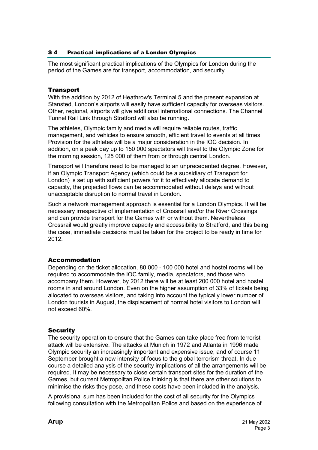# <span id="page-3-0"></span>S 4 Practical implications of a London Olympics

The most significant practical implications of the Olympics for London during the period of the Games are for transport, accommodation, and security.

## **Transport**

With the addition by 2012 of Heathrow's Terminal 5 and the present expansion at Stansted, London's airports will easily have sufficient capacity for overseas visitors. Other, regional, airports will give additional international connections. The Channel Tunnel Rail Link through Stratford will also be running.

The athletes, Olympic family and media will require reliable routes, traffic management, and vehicles to ensure smooth, efficient travel to events at all times. Provision for the athletes will be a major consideration in the IOC decision. In addition, on a peak day up to 150 000 spectators will travel to the Olympic Zone for the morning session, 125 000 of them from or through central London.

Transport will therefore need to be managed to an unprecedented degree. However, if an Olympic Transport Agency (which could be a subsidiary of Transport for London) is set up with sufficient powers for it to effectively allocate demand to capacity, the projected flows can be accommodated without delays and without unacceptable disruption to normal travel in London.

Such a network management approach is essential for a London Olympics. It will be necessary irrespective of implementation of Crossrail and/or the River Crossings, and can provide transport for the Games with or without them. Nevertheless Crossrail would greatly improve capacity and accessibility to Stratford, and this being the case, immediate decisions must be taken for the project to be ready in time for 2012.

# Accommodation

Depending on the ticket allocation, 80 000 - 100 000 hotel and hostel rooms will be required to accommodate the IOC family, media, spectators, and those who accompany them. However, by 2012 there will be at least 200 000 hotel and hostel rooms in and around London. Even on the higher assumption of 33% of tickets being allocated to overseas visitors, and taking into account the typically lower number of London tourists in August, the displacement of normal hotel visitors to London will not exceed 60%.

#### **Security**

The security operation to ensure that the Games can take place free from terrorist attack will be extensive. The attacks at Munich in 1972 and Atlanta in 1996 made Olympic security an increasingly important and expensive issue, and of course 11 September brought a new intensity of focus to the global terrorism threat. In due course a detailed analysis of the security implications of all the arrangements will be required. It may be necessary to close certain transport sites for the duration of the Games, but current Metropolitan Police thinking is that there are other solutions to minimise the risks they pose, and these costs have been included in the analysis.

A provisional sum has been included for the cost of all security for the Olympics following consultation with the Metropolitan Police and based on the experience of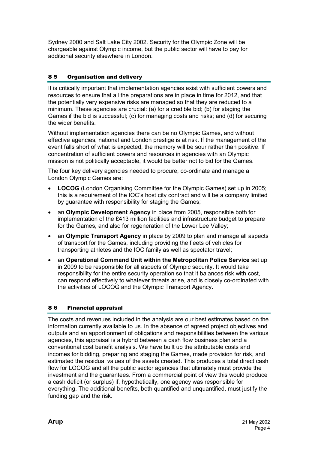<span id="page-4-0"></span>Sydney 2000 and Salt Lake City 2002. Security for the Olympic Zone will be chargeable against Olympic income, but the public sector will have to pay for additional security elsewhere in London.

# S 5 Organisation and delivery

It is critically important that implementation agencies exist with sufficient powers and resources to ensure that all the preparations are in place in time for 2012, and that the potentially very expensive risks are managed so that they are reduced to a minimum. These agencies are crucial: (a) for a credible bid; (b) for staging the Games if the bid is successful; (c) for managing costs and risks; and (d) for securing the wider benefits.

Without implementation agencies there can be no Olympic Games, and without effective agencies, national and London prestige is at risk. If the management of the event falls short of what is expected, the memory will be sour rather than positive. If concentration of sufficient powers and resources in agencies with an Olympic mission is not politically acceptable, it would be better not to bid for the Games.

The four key delivery agencies needed to procure, co-ordinate and manage a London Olympic Games are:

- $\bullet$  **LOCOG** (London Organising Committee for the Olympic Games) set up in 2005; this is a requirement of the IOC's host city contract and will be a company limited by guarantee with responsibility for staging the Games;
- $\bullet$  an **Olympic Development Agency** in place from 2005, responsible both for implementation of the £413 million facilities and infrastructure budget to prepare for the Games, and also for regeneration of the Lower Lee Valley;
- $\bullet$  an **Olympic Transport Agency** in place by 2009 to plan and manage all aspects of transport for the Games, including providing the fleets of vehicles for transporting athletes and the IOC family as well as spectator travel;
- $\bullet$  an **Operational Command Unit within the Metropolitan Police Service** set up in 2009 to be responsible for all aspects of Olympic security. It would take responsibility for the entire security operation so that it balances risk with cost, can respond effectively to whatever threats arise, and is closely co-ordinated with the activities of LOCOG and the Olympic Transport Agency.

# S 6 Financial appraisal

The costs and revenues included in the analysis are our best estimates based on the information currently available to us. In the absence of agreed project objectives and outputs and an apportionment of obligations and responsibilities between the various agencies, this appraisal is a hybrid between a cash flow business plan and a conventional cost benefit analysis. We have built up the attributable costs and incomes for bidding, preparing and staging the Games, made provision for risk, and estimated the residual values of the assets created. This produces a total direct cash flow for LOCOG and all the public sector agencies that ultimately must provide the investment and the guarantees. From a commercial point of view this would produce a cash deficit (or surplus) if, hypothetically, one agency was responsible for everything. The additional benefits, both quantified and unquantified, must justify the funding gap and the risk.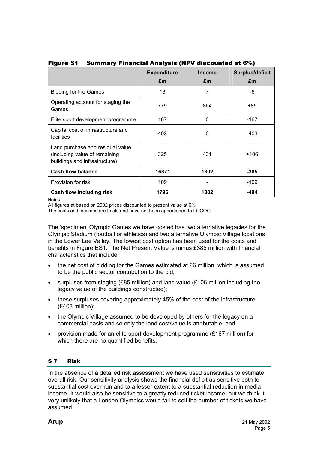|                                                                                                    | <b>Expenditure</b><br>£m | <b>Income</b><br>£m | <b>Surplus/deficit</b><br>£m |
|----------------------------------------------------------------------------------------------------|--------------------------|---------------------|------------------------------|
| <b>Bidding for the Games</b>                                                                       | 13                       | 7                   | -6                           |
| Operating account for staging the<br>Games                                                         | 779                      | 864                 | +85                          |
| Elite sport development programme                                                                  | 167                      | 0                   | -167                         |
| Capital cost of infrastructure and<br>facilities                                                   | 403                      | 0                   | -403                         |
| Land purchase and residual value<br>(including value of remaining<br>buildings and infrastructure) | 325                      | 431                 | +106                         |
| <b>Cash flow balance</b>                                                                           | 1687*                    | 1302                | $-385$                       |
| Provision for risk                                                                                 | 109                      |                     | -109                         |
| Cash flow including risk<br>. .                                                                    | 1796                     | 1302                | -494                         |

## <span id="page-5-0"></span>Figure S1 Summary Financial Analysis (NPV discounted at 6%)

**Notes** 

All figures at based on 2002 prices discounted to present value at 6%

The costs and incomes are totals and have not been apportioned to LOCOG

The 'specimen' Olympic Games we have costed has two alternative legacies for the Olympic Stadium (football or athletics) and two alternative Olympic Village locations in the Lower Lee Valley. The lowest cost option has been used for the costs and benefits in Figure ES1. The Net Present Value is minus £385 million with financial characteristics that include:

- the net cost of bidding for the Games estimated at £6 million, which is assumed to be the public sector contribution to the bid;
- $\bullet$  surpluses from staging (£85 million) and land value (£106 million including the legacy value of the buildings constructed);
- these surpluses covering approximately 45% of the cost of the infrastructure (£403 million);
- the Olympic Village assumed to be developed by others for the legacy on a commercial basis and so only the land cost/value is attributable; and
- $\bullet$  provision made for an elite sport development programme (£167 million) for which there are no quantified benefits.

# S 7 Risk

In the absence of a detailed risk assessment we have used sensitivities to estimate overall risk. Our sensitivity analysis shows the financial deficit as sensitive both to substantial cost over-run and to a lesser extent to a substantial reduction in media income. It would also be sensitive to a greatly reduced ticket income, but we think it very unlikely that a London Olympics would fail to sell the number of tickets we have assumed.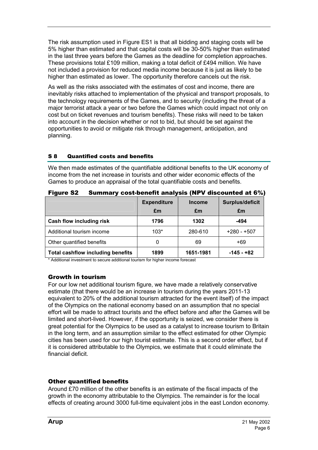<span id="page-6-0"></span>The risk assumption used in Figure ES1 is that all bidding and staging costs will be 5% higher than estimated and that capital costs will be 30-50% higher than estimated in the last three years before the Games as the deadline for completion approaches. These provisions total £109 million, making a total deficit of £494 million. We have not included a provision for reduced media income because it is just as likely to be higher than estimated as lower. The opportunity therefore cancels out the risk.

As well as the risks associated with the estimates of cost and income, there are inevitably risks attached to implementation of the physical and transport proposals, to the technology requirements of the Games, and to security (including the threat of a major terrorist attack a year or two before the Games which could impact not only on cost but on ticket revenues and tourism benefits). These risks will need to be taken into account in the decision whether or not to bid, but should be set against the opportunities to avoid or mitigate risk through management, anticipation, and planning.

# S 8 Quantified costs and benefits

We then made estimates of the quantifiable additional benefits to the UK economy of income from the net increase in tourists and other wider economic effects of the Games to produce an appraisal of the total quantifiable costs and benefits.

|                                          | <b>Expenditure</b><br>£m | <b>Income</b><br>£m | Surplus/deficit<br>£m |
|------------------------------------------|--------------------------|---------------------|-----------------------|
| Cash flow including risk                 | 1796                     | 1302                | -494                  |
| Additional tourism income                | $103*$                   | 280-610             | $+280 - +507$         |
| Other quantified benefits                | 0                        | 69                  | +69                   |
| <b>Total cashflow including benefits</b> | 1899                     | 1651-1981           | $-145 - +82$          |

Figure S2 Summary cost-benefit analysis (NPV discounted at 6%)

\* Additional investment to secure additional tourism for higher income forecast

# Growth in tourism

For our low net additional tourism figure, we have made a relatively conservative estimate (that there would be an increase in tourism during the years 2011-13 equivalent to 20% of the additional tourism attracted for the event itself) of the impact of the Olympics on the national economy based on an assumption that no special effort will be made to attract tourists and the effect before and after the Games will be limited and short-lived. However, if the opportunity is seized, we consider there is great potential for the Olympics to be used as a catalyst to increase tourism to Britain in the long term, and an assumption similar to the effect estimated for other Olympic cities has been used for our high tourist estimate. This is a second order effect, but if it is considered attributable to the Olympics, we estimate that it could eliminate the financial deficit.

# Other quantified benefits

Around £70 million of the other benefits is an estimate of the fiscal impacts of the growth in the economy attributable to the Olympics. The remainder is for the local effects of creating around 3000 full-time equivalent jobs in the east London economy.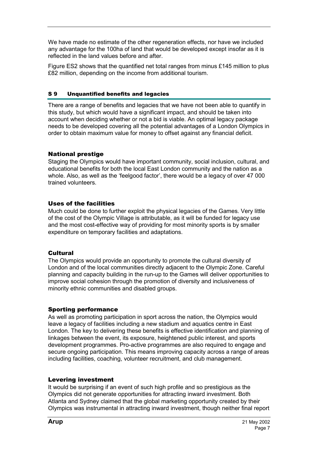<span id="page-7-0"></span>We have made no estimate of the other regeneration effects, nor have we included any advantage for the 100ha of land that would be developed except insofar as it is reflected in the land values before and after.

Figure ES2 shows that the quantified net total ranges from minus £145 million to plus £82 million, depending on the income from additional tourism.

#### S 9 Unquantified benefits and legacies

There are a range of benefits and legacies that we have not been able to quantify in this study, but which would have a significant impact, and should be taken into account when deciding whether or not a bid is viable. An optimal legacy package needs to be developed covering all the potential advantages of a London Olympics in order to obtain maximum value for money to offset against any financial deficit.

# National prestige

Staging the Olympics would have important community, social inclusion, cultural, and educational benefits for both the local East London community and the nation as a whole. Also, as well as the 'feelgood factor', there would be a legacy of over 47 000 trained volunteers.

# Uses of the facilities

Much could be done to further exploit the physical legacies of the Games. Very little of the cost of the Olympic Village is attributable, as it will be funded for legacy use and the most cost-effective way of providing for most minority sports is by smaller expenditure on temporary facilities and adaptations.

# **Cultural**

The Olympics would provide an opportunity to promote the cultural diversity of London and of the local communities directly adjacent to the Olympic Zone. Careful planning and capacity building in the run-up to the Games will deliver opportunities to improve social cohesion through the promotion of diversity and inclusiveness of minority ethnic communities and disabled groups.

# Sporting performance

As well as promoting participation in sport across the nation, the Olympics would leave a legacy of facilities including a new stadium and aquatics centre in East London. The key to delivering these benefits is effective identification and planning of linkages between the event, its exposure, heightened public interest, and sports development programmes. Pro-active programmes are also required to engage and secure ongoing participation. This means improving capacity across a range of areas including facilities, coaching, volunteer recruitment, and club management.

# Levering investment

It would be surprising if an event of such high profile and so prestigious as the Olympics did not generate opportunities for attracting inward investment. Both Atlanta and Sydney claimed that the global marketing opportunity created by their Olympics was instrumental in attracting inward investment, though neither final report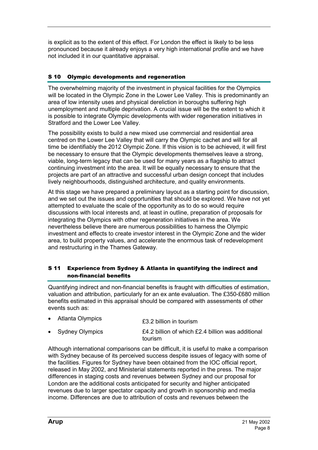<span id="page-8-0"></span>is explicit as to the extent of this effect. For London the effect is likely to be less pronounced because it already enjoys a very high international profile and we have not included it in our quantitative appraisal.

# S 10 Olympic developments and regeneration

The overwhelming majority of the investment in physical facilities for the Olympics will be located in the Olympic Zone in the Lower Lee Valley. This is predominantly an area of low intensity uses and physical dereliction in boroughs suffering high unemployment and multiple deprivation. A crucial issue will be the extent to which it is possible to integrate Olympic developments with wider regeneration initiatives in Stratford and the Lower Lee Valley.

The possibility exists to build a new mixed use commercial and residential area centred on the Lower Lee Valley that will carry the Olympic cachet and will for all time be identifiably the 2012 Olympic Zone. If this vision is to be achieved, it will first be necessary to ensure that the Olympic developments themselves leave a strong, viable, long-term legacy that can be used for many years as a flagship to attract continuing investment into the area. It will be equally necessary to ensure that the projects are part of an attractive and successful urban design concept that includes lively neighbourhoods, distinguished architecture, and quality environments.

At this stage we have prepared a preliminary layout as a starting point for discussion, and we set out the issues and opportunities that should be explored. We have not yet attempted to evaluate the scale of the opportunity as to do so would require discussions with local interests and, at least in outline, preparation of proposals for integrating the Olympics with other regeneration initiatives in the area. We nevertheless believe there are numerous possibilities to harness the Olympic investment and effects to create investor interest in the Olympic Zone and the wider area, to build property values, and accelerate the enormous task of redevelopment and restructuring in the Thames Gateway.

#### S 11 Experience from Sydney & Atlanta in quantifying the indirect and non-financial benefits

Quantifying indirect and non-financial benefits is fraught with difficulties of estimation, valuation and attribution, particularly for an ex ante evaluation. The £350-£680 million benefits estimated in this appraisal should be compared with assessments of other events such as:

| • Atlanta Olympics | £3.2 billion in tourism                                      |
|--------------------|--------------------------------------------------------------|
| • Sydney Olympics  | £4.2 billion of which £2.4 billion was additional<br>tourism |

Although international comparisons can be difficult, it is useful to make a comparison with Sydney because of its perceived success despite issues of legacy with some of the facilities. Figures for Sydney have been obtained from the IOC official report, released in May 2002, and Ministerial statements reported in the press. The major differences in staging costs and revenues between Sydney and our proposal for London are the additional costs anticipated for security and higher anticipated revenues due to larger spectator capacity and growth in sponsorship and media income. Differences are due to attribution of costs and revenues between the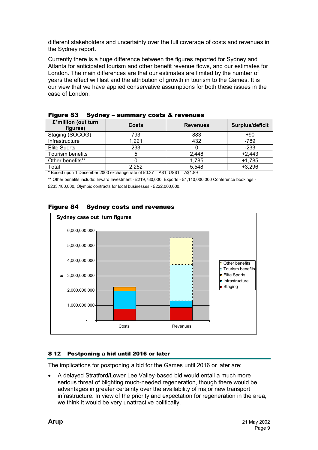<span id="page-9-0"></span>different stakeholders and uncertainty over the full coverage of costs and revenues in the Sydney report.

Currently there is a huge difference between the figures reported for Sydney and Atlanta for anticipated tourism and other benefit revenue flows, and our estimates for London. The main differences are that our estimates are limited by the number of years the effect will last and the attribution of growth in tourism to the Games. It is our view that we have applied conservative assumptions for both these issues in the case of London.

| £*million (out turn<br>figures) | <b>Costs</b> | <b>Revenues</b> | Surplus/deficit |
|---------------------------------|--------------|-----------------|-----------------|
| Staging (SOCOG)                 | 793          | 883             | +90             |
| Infrastructure                  | 1,221        | 432             | $-789$          |
| Elite Sports                    | 233          |                 | $-233$          |
| Tourism benefits                | 5            | 2,448           | $+2,443$        |
| Other benefits**                |              | 1,785           | $+1,785$        |
| Total                           | 2,252        | 5,548           | $+3,296$        |

|  | <b>Figure S3</b> Sydney - summary costs & revenues |
|--|----------------------------------------------------|
|--|----------------------------------------------------|

\* Based upon 1 December 2000 exchange rate of £0.37 = A\$1, US\$1 = A\$1.89

\*\* Other benefits include: Inward Investment - £219,780,000, Exports - £1,110,000,000 Conference bookings -

£233,100,000, Olympic contracts for local businesses - £222,000,000.



#### Figure S4 Sydney costs and revenues

#### S 12 Postponing a bid until 2016 or later

The implications for postponing a bid for the Games until 2016 or later are:

- A delayed Stratford/Lower Lee Valley-based bid would entail a much more serious threat of blighting much-needed regeneration, though there would be advantages in greater certainty over the availability of major new transport infrastructure. In view of the priority and expectation for regeneration in the area, we think it would be very unattractive politically.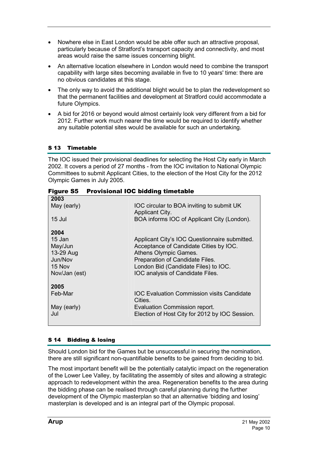- <span id="page-10-0"></span>- Nowhere else in East London would be able offer such an attractive proposal, particularly because of Stratford's transport capacity and connectivity, and most areas would raise the same issues concerning blight.
- - An alternative location elsewhere in London would need to combine the transport capability with large sites becoming available in five to 10 years' time: there are no obvious candidates at this stage.
- $\bullet$  The only way to avoid the additional blight would be to plan the redevelopment so that the permanent facilities and development at Stratford could accommodate a future Olympics.
- A bid for 2016 or beyond would almost certainly look very different from a bid for 2012. Further work much nearer the time would be required to identify whether any suitable potential sites would be available for such an undertaking.

# S 13 Timetable

The IOC issued their provisional deadlines for selecting the Host City early in March 2002. It covers a period of 27 months - from the IOC invitation to National Olympic Committees to submit Applicant Cities, to the election of the Host City for the 2012 Olympic Games in July 2005.

| 2003          |                                                |
|---------------|------------------------------------------------|
| May (early)   | IOC circular to BOA inviting to submit UK      |
|               | Applicant City.                                |
| 15 Jul        | BOA informs IOC of Applicant City (London).    |
|               |                                                |
| 2004          |                                                |
| 15 Jan        | Applicant City's IOC Questionnaire submitted.  |
| May/Jun       | Acceptance of Candidate Cities by IOC.         |
| 13-29 Aug     | Athens Olympic Games.                          |
| Jun/Nov       | Preparation of Candidate Files.                |
| 15 Nov        | London Bid (Candidate Files) to IOC.           |
| Nov/Jan (est) | IOC analysis of Candidate Files.               |
|               |                                                |
| 2005          |                                                |
| Feb-Mar       | IOC Evaluation Commission visits Candidate     |
|               | Cities.                                        |
| May (early)   | Evaluation Commission report.                  |
| Jul           | Election of Host City for 2012 by IOC Session. |
|               |                                                |
|               |                                                |

# Figure S5 Provisional IOC bidding timetable

# S 14 Bidding & losing

Should London bid for the Games but be unsuccessful in securing the nomination, there are still significant non-quantifiable benefits to be gained from deciding to bid.

The most important benefit will be the potentially catalytic impact on the regeneration of the Lower Lee Valley, by facilitating the assembly of sites and allowing a strategic approach to redevelopment within the area. Regeneration benefits to the area during the bidding phase can be realised through careful planning during the further development of the Olympic masterplan so that an alternative 'bidding and losing' masterplan is developed and is an integral part of the Olympic proposal.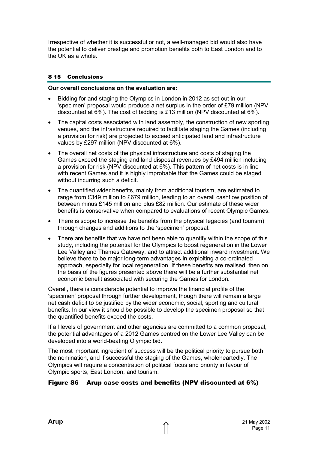<span id="page-11-0"></span>Irrespective of whether it is successful or not, a well-managed bid would also have the potential to deliver prestige and promotion benefits both to East London and to the UK as a whole.

## S 15 Conclusions

#### **Our overall conclusions on the evaluation are:**

- - Bidding for and staging the Olympics in London in 2012 as set out in our 'specimen' proposal would produce a net surplus in the order of £79 million (NPV discounted at 6%). The cost of bidding is £13 million (NPV discounted at 6%).
- $\bullet$  The capital costs associated with land assembly, the construction of new sporting venues, and the infrastructure required to facilitate staging the Games (including a provision for risk) are projected to exceed anticipated land and infrastructure values by £297 million (NPV discounted at 6%).
- $\bullet$  The overall net costs of the physical infrastructure and costs of staging the Games exceed the staging and land disposal revenues by £494 million including a provision for risk (NPV discounted at 6%). This pattern of net costs is in line with recent Games and it is highly improbable that the Games could be staged without incurring such a deficit.
- - The quantified wider benefits, mainly from additional tourism, are estimated to range from £349 million to £679 million, leading to an overall cashflow position of between minus £145 million and plus £82 million. Our estimate of these wider benefits is conservative when compared to evaluations of recent Olympic Games.
- $\bullet$  There is scope to increase the benefits from the physical legacies (and tourism) through changes and additions to the 'specimen' proposal.
- - There are benefits that we have not been able to quantify within the scope of this study, including the potential for the Olympics to boost regeneration in the Lower Lee Valley and Thames Gateway, and to attract additional inward investment. We believe there to be major long-term advantages in exploiting a co-ordinated approach, especially for local regeneration. If these benefits are realised, then on the basis of the figures presented above there will be a further substantial net economic benefit associated with securing the Games for London.

Overall, there is considerable potential to improve the financial profile of the 'specimen' proposal through further development, though there will remain a large net cash deficit to be justified by the wider economic, social, sporting and cultural benefits. In our view it should be possible to develop the specimen proposal so that the quantified benefits exceed the costs.

If all levels of government and other agencies are committed to a common proposal, the potential advantages of a 2012 Games centred on the Lower Lee Valley can be developed into a world-beating Olympic bid.

The most important ingredient of success will be the political priority to pursue both the nomination, and if successful the staging of the Games, wholeheartedly. The Olympics will require a concentration of political focus and priority in favour of Olympic sports, East London, and tourism.

# Figure S6 Arup case costs and benefits (NPV discounted at 6%)